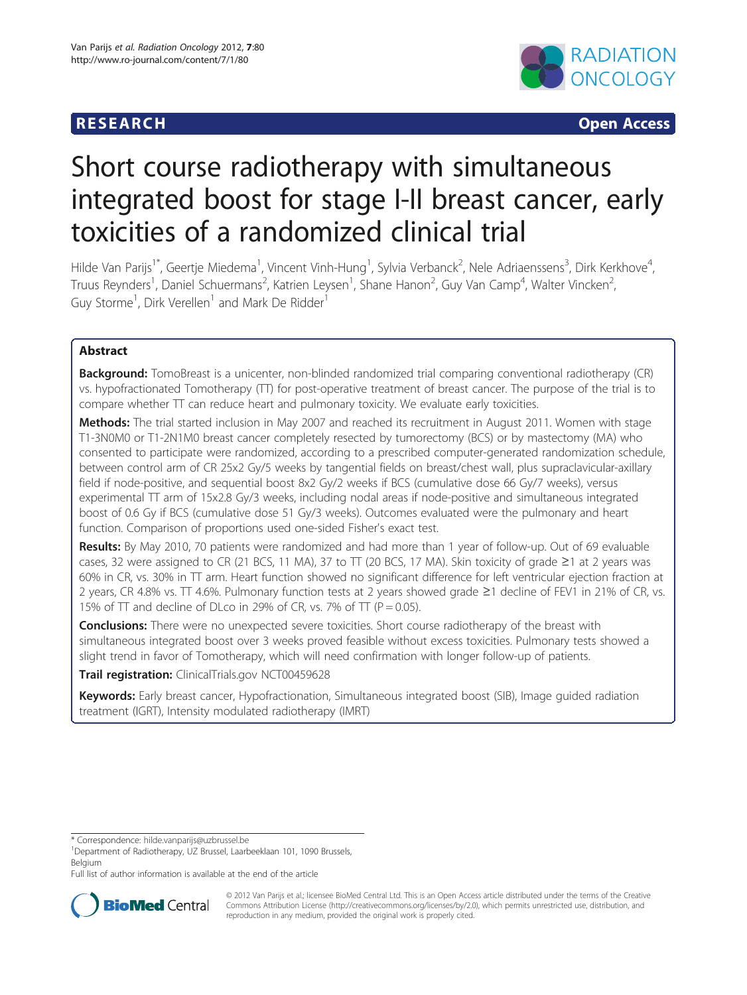

**RESEARCH CHINESEARCH CHINESEARCH** 

# Short course radiotherapy with simultaneous integrated boost for stage I-II breast cancer, early toxicities of a randomized clinical trial

Hilde Van Parijs<sup>1\*</sup>, Geertje Miedema<sup>1</sup>, Vincent Vinh-Hung<sup>1</sup>, Sylvia Verbanck<sup>2</sup>, Nele Adriaenssens<sup>3</sup>, Dirk Kerkhove<sup>4</sup> , Truus Reynders<sup>1</sup>, Daniel Schuermans<sup>2</sup>, Katrien Leysen<sup>1</sup>, Shane Hanon<sup>2</sup>, Guy Van Camp<sup>4</sup>, Walter Vincken<sup>2</sup> , Guy Storme<sup>1</sup>, Dirk Verellen<sup>1</sup> and Mark De Ridder<sup>1</sup>

# Abstract

Background: TomoBreast is a unicenter, non-blinded randomized trial comparing conventional radiotherapy (CR) vs. hypofractionated Tomotherapy (TT) for post-operative treatment of breast cancer. The purpose of the trial is to compare whether TT can reduce heart and pulmonary toxicity. We evaluate early toxicities.

Methods: The trial started inclusion in May 2007 and reached its recruitment in August 2011. Women with stage T1-3N0M0 or T1-2N1M0 breast cancer completely resected by tumorectomy (BCS) or by mastectomy (MA) who consented to participate were randomized, according to a prescribed computer-generated randomization schedule, between control arm of CR 25x2 Gy/5 weeks by tangential fields on breast/chest wall, plus supraclavicular-axillary field if node-positive, and sequential boost 8x2 Gy/2 weeks if BCS (cumulative dose 66 Gy/7 weeks), versus experimental TT arm of 15x2.8 Gy/3 weeks, including nodal areas if node-positive and simultaneous integrated boost of 0.6 Gy if BCS (cumulative dose 51 Gy/3 weeks). Outcomes evaluated were the pulmonary and heart function. Comparison of proportions used one-sided Fisher's exact test.

Results: By May 2010, 70 patients were randomized and had more than 1 year of follow-up. Out of 69 evaluable cases, 32 were assigned to CR (21 BCS, 11 MA), 37 to TT (20 BCS, 17 MA). Skin toxicity of grade ≥1 at 2 years was 60% in CR, vs. 30% in TT arm. Heart function showed no significant difference for left ventricular ejection fraction at 2 years, CR 4.8% vs. TT 4.6%. Pulmonary function tests at 2 years showed grade ≥1 decline of FEV1 in 21% of CR, vs. 15% of  $\Pi$  and decline of DLco in 29% of CR, vs. 7% of  $\Pi$  (P = 0.05).

**Conclusions:** There were no unexpected severe toxicities. Short course radiotherapy of the breast with simultaneous integrated boost over 3 weeks proved feasible without excess toxicities. Pulmonary tests showed a slight trend in favor of Tomotherapy, which will need confirmation with longer follow-up of patients.

Trail registration: ClinicalTrials.gov NCT00459628

Keywords: Early breast cancer, Hypofractionation, Simultaneous integrated boost (SIB), Image guided radiation treatment (IGRT), Intensity modulated radiotherapy (IMRT)

\* Correspondence: [hilde.vanparijs@uzbrussel.be](mailto:hilde.vanparijs@uzbrussel.be) <sup>1</sup>

Full list of author information is available at the end of the article



© 2012 Van Parijs et al.; licensee BioMed Central Ltd. This is an Open Access article distributed under the terms of the Creative Commons Attribution License [\(http://creativecommons.org/licenses/by/2.0\)](http://creativecommons.org/licenses/by/2.0), which permits unrestricted use, distribution, and reproduction in any medium, provided the original work is properly cited.

<sup>&</sup>lt;sup>1</sup>Department of Radiotherapy, UZ Brussel, Laarbeeklaan 101, 1090 Brussels, Belgium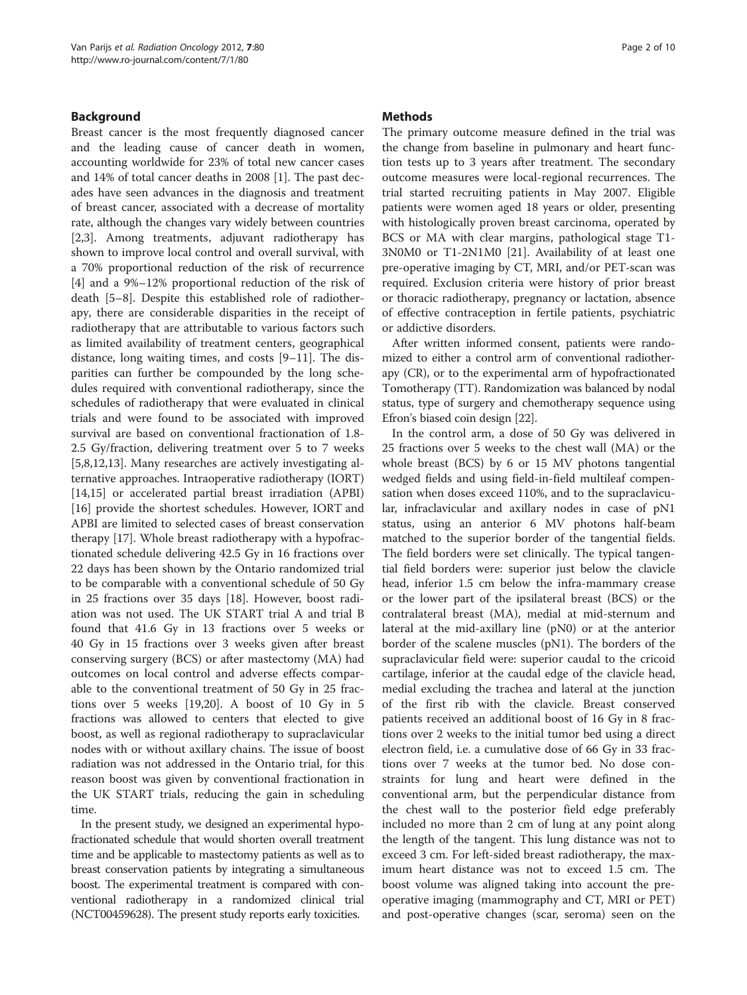# Background

Breast cancer is the most frequently diagnosed cancer and the leading cause of cancer death in women, accounting worldwide for 23% of total new cancer cases and 14% of total cancer deaths in 2008 [\[1](#page-8-0)]. The past decades have seen advances in the diagnosis and treatment of breast cancer, associated with a decrease of mortality rate, although the changes vary widely between countries [[2,3\]](#page-8-0). Among treatments, adjuvant radiotherapy has shown to improve local control and overall survival, with a 70% proportional reduction of the risk of recurrence [[4\]](#page-8-0) and a 9%–12% proportional reduction of the risk of death [[5](#page-8-0)–[8\]](#page-8-0). Despite this established role of radiotherapy, there are considerable disparities in the receipt of radiotherapy that are attributable to various factors such as limited availability of treatment centers, geographical distance, long waiting times, and costs [[9](#page-8-0)–[11](#page-8-0)]. The disparities can further be compounded by the long schedules required with conventional radiotherapy, since the schedules of radiotherapy that were evaluated in clinical trials and were found to be associated with improved survival are based on conventional fractionation of 1.8- 2.5 Gy/fraction, delivering treatment over 5 to 7 weeks [[5,8,12,13\]](#page-8-0). Many researches are actively investigating alternative approaches. Intraoperative radiotherapy (IORT) [[14,15\]](#page-8-0) or accelerated partial breast irradiation (APBI) [[16\]](#page-8-0) provide the shortest schedules. However, IORT and APBI are limited to selected cases of breast conservation therapy [\[17](#page-8-0)]. Whole breast radiotherapy with a hypofractionated schedule delivering 42.5 Gy in 16 fractions over 22 days has been shown by the Ontario randomized trial to be comparable with a conventional schedule of 50 Gy in 25 fractions over 35 days [\[18](#page-8-0)]. However, boost radiation was not used. The UK START trial A and trial B found that 41.6 Gy in 13 fractions over 5 weeks or 40 Gy in 15 fractions over 3 weeks given after breast conserving surgery (BCS) or after mastectomy (MA) had outcomes on local control and adverse effects comparable to the conventional treatment of 50 Gy in 25 fractions over 5 weeks [[19](#page-8-0),[20](#page-8-0)]. A boost of 10 Gy in 5 fractions was allowed to centers that elected to give boost, as well as regional radiotherapy to supraclavicular nodes with or without axillary chains. The issue of boost radiation was not addressed in the Ontario trial, for this reason boost was given by conventional fractionation in the UK START trials, reducing the gain in scheduling time.

In the present study, we designed an experimental hypofractionated schedule that would shorten overall treatment time and be applicable to mastectomy patients as well as to breast conservation patients by integrating a simultaneous boost. The experimental treatment is compared with conventional radiotherapy in a randomized clinical trial (NCT00459628). The present study reports early toxicities.

## **Methods**

The primary outcome measure defined in the trial was the change from baseline in pulmonary and heart function tests up to 3 years after treatment. The secondary outcome measures were local-regional recurrences. The trial started recruiting patients in May 2007. Eligible patients were women aged 18 years or older, presenting with histologically proven breast carcinoma, operated by BCS or MA with clear margins, pathological stage T1- 3N0M0 or T1-2N1M0 [\[21](#page-8-0)]. Availability of at least one pre-operative imaging by CT, MRI, and/or PET-scan was required. Exclusion criteria were history of prior breast or thoracic radiotherapy, pregnancy or lactation, absence of effective contraception in fertile patients, psychiatric or addictive disorders.

After written informed consent, patients were randomized to either a control arm of conventional radiotherapy (CR), or to the experimental arm of hypofractionated Tomotherapy (TT). Randomization was balanced by nodal status, type of surgery and chemotherapy sequence using Efron's biased coin design [[22](#page-8-0)].

In the control arm, a dose of 50 Gy was delivered in 25 fractions over 5 weeks to the chest wall (MA) or the whole breast (BCS) by 6 or 15 MV photons tangential wedged fields and using field-in-field multileaf compensation when doses exceed 110%, and to the supraclavicular, infraclavicular and axillary nodes in case of pN1 status, using an anterior 6 MV photons half-beam matched to the superior border of the tangential fields. The field borders were set clinically. The typical tangential field borders were: superior just below the clavicle head, inferior 1.5 cm below the infra-mammary crease or the lower part of the ipsilateral breast (BCS) or the contralateral breast (MA), medial at mid-sternum and lateral at the mid-axillary line (pN0) or at the anterior border of the scalene muscles (pN1). The borders of the supraclavicular field were: superior caudal to the cricoid cartilage, inferior at the caudal edge of the clavicle head, medial excluding the trachea and lateral at the junction of the first rib with the clavicle. Breast conserved patients received an additional boost of 16 Gy in 8 fractions over 2 weeks to the initial tumor bed using a direct electron field, i.e. a cumulative dose of 66 Gy in 33 fractions over 7 weeks at the tumor bed. No dose constraints for lung and heart were defined in the conventional arm, but the perpendicular distance from the chest wall to the posterior field edge preferably included no more than 2 cm of lung at any point along the length of the tangent. This lung distance was not to exceed 3 cm. For left-sided breast radiotherapy, the maximum heart distance was not to exceed 1.5 cm. The boost volume was aligned taking into account the preoperative imaging (mammography and CT, MRI or PET) and post-operative changes (scar, seroma) seen on the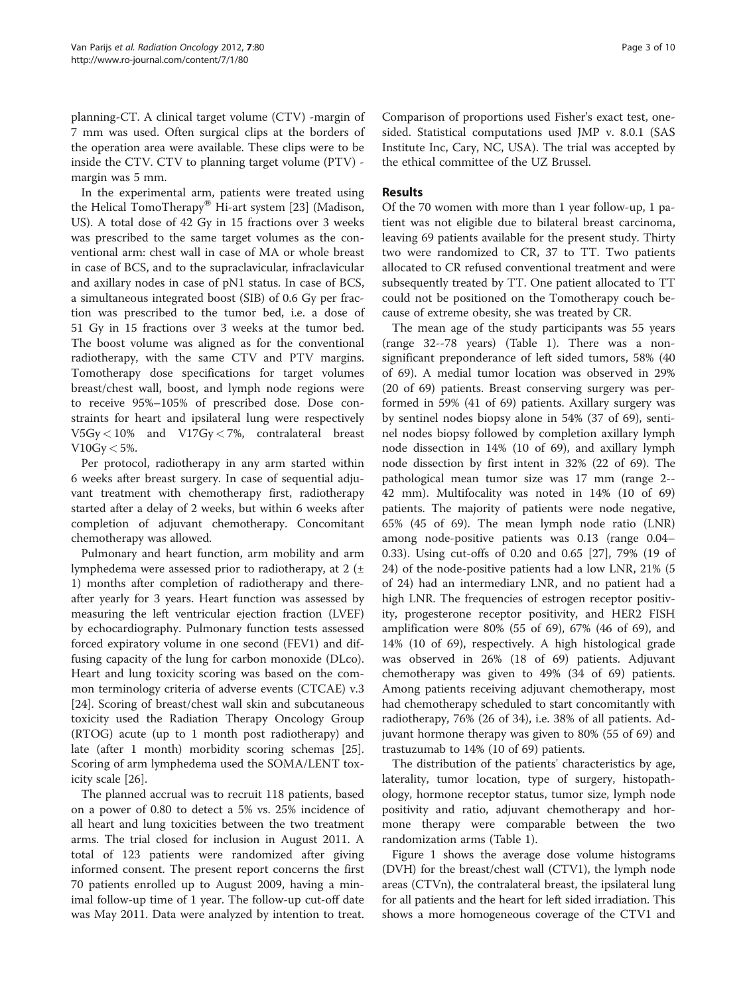planning-CT. A clinical target volume (CTV) -margin of 7 mm was used. Often surgical clips at the borders of the operation area were available. These clips were to be inside the CTV. CTV to planning target volume (PTV) margin was 5 mm.

In the experimental arm, patients were treated using the Helical TomoTherapy<sup>®</sup> Hi-art system [[23](#page-8-0)] (Madison, US). A total dose of 42 Gy in 15 fractions over 3 weeks was prescribed to the same target volumes as the conventional arm: chest wall in case of MA or whole breast in case of BCS, and to the supraclavicular, infraclavicular and axillary nodes in case of pN1 status. In case of BCS, a simultaneous integrated boost (SIB) of 0.6 Gy per fraction was prescribed to the tumor bed, i.e. a dose of 51 Gy in 15 fractions over 3 weeks at the tumor bed. The boost volume was aligned as for the conventional radiotherapy, with the same CTV and PTV margins. Tomotherapy dose specifications for target volumes breast/chest wall, boost, and lymph node regions were to receive 95%–105% of prescribed dose. Dose constraints for heart and ipsilateral lung were respectively V5Gy < 10% and V17Gy < 7%, contralateral breast  $V10Gy < 5\%$ .

Per protocol, radiotherapy in any arm started within 6 weeks after breast surgery. In case of sequential adjuvant treatment with chemotherapy first, radiotherapy started after a delay of 2 weeks, but within 6 weeks after completion of adjuvant chemotherapy. Concomitant chemotherapy was allowed.

Pulmonary and heart function, arm mobility and arm lymphedema were assessed prior to radiotherapy, at 2 (± 1) months after completion of radiotherapy and thereafter yearly for 3 years. Heart function was assessed by measuring the left ventricular ejection fraction (LVEF) by echocardiography. Pulmonary function tests assessed forced expiratory volume in one second (FEV1) and diffusing capacity of the lung for carbon monoxide (DLco). Heart and lung toxicity scoring was based on the common terminology criteria of adverse events (CTCAE) v.3 [[24\]](#page-9-0). Scoring of breast/chest wall skin and subcutaneous toxicity used the Radiation Therapy Oncology Group (RTOG) acute (up to 1 month post radiotherapy) and late (after 1 month) morbidity scoring schemas [\[25](#page-9-0)]. Scoring of arm lymphedema used the SOMA/LENT toxicity scale [\[26](#page-9-0)].

The planned accrual was to recruit 118 patients, based on a power of 0.80 to detect a 5% vs. 25% incidence of all heart and lung toxicities between the two treatment arms. The trial closed for inclusion in August 2011. A total of 123 patients were randomized after giving informed consent. The present report concerns the first 70 patients enrolled up to August 2009, having a minimal follow-up time of 1 year. The follow-up cut-off date was May 2011. Data were analyzed by intention to treat. Comparison of proportions used Fisher's exact test, onesided. Statistical computations used JMP v. 8.0.1 (SAS Institute Inc, Cary, NC, USA). The trial was accepted by the ethical committee of the UZ Brussel.

# Results

Of the 70 women with more than 1 year follow-up, 1 patient was not eligible due to bilateral breast carcinoma, leaving 69 patients available for the present study. Thirty two were randomized to CR, 37 to TT. Two patients allocated to CR refused conventional treatment and were subsequently treated by TT. One patient allocated to TT could not be positioned on the Tomotherapy couch because of extreme obesity, she was treated by CR.

The mean age of the study participants was 55 years (range 32--78 years) (Table [1\)](#page-3-0). There was a nonsignificant preponderance of left sided tumors, 58% (40 of 69). A medial tumor location was observed in 29% (20 of 69) patients. Breast conserving surgery was performed in 59% (41 of 69) patients. Axillary surgery was by sentinel nodes biopsy alone in 54% (37 of 69), sentinel nodes biopsy followed by completion axillary lymph node dissection in 14% (10 of 69), and axillary lymph node dissection by first intent in 32% (22 of 69). The pathological mean tumor size was 17 mm (range 2-- 42 mm). Multifocality was noted in 14% (10 of 69) patients. The majority of patients were node negative, 65% (45 of 69). The mean lymph node ratio (LNR) among node-positive patients was 0.13 (range 0.04– 0.33). Using cut-offs of 0.20 and 0.65 [\[27](#page-9-0)], 79% (19 of 24) of the node-positive patients had a low LNR, 21% (5 of 24) had an intermediary LNR, and no patient had a high LNR. The frequencies of estrogen receptor positivity, progesterone receptor positivity, and HER2 FISH amplification were 80% (55 of 69), 67% (46 of 69), and 14% (10 of 69), respectively. A high histological grade was observed in 26% (18 of 69) patients. Adjuvant chemotherapy was given to 49% (34 of 69) patients. Among patients receiving adjuvant chemotherapy, most had chemotherapy scheduled to start concomitantly with radiotherapy, 76% (26 of 34), i.e. 38% of all patients. Adjuvant hormone therapy was given to 80% (55 of 69) and trastuzumab to 14% (10 of 69) patients.

The distribution of the patients' characteristics by age, laterality, tumor location, type of surgery, histopathology, hormone receptor status, tumor size, lymph node positivity and ratio, adjuvant chemotherapy and hormone therapy were comparable between the two randomization arms (Table [1](#page-3-0)).

Figure [1](#page-4-0) shows the average dose volume histograms (DVH) for the breast/chest wall (CTV1), the lymph node areas (CTVn), the contralateral breast, the ipsilateral lung for all patients and the heart for left sided irradiation. This shows a more homogeneous coverage of the CTV1 and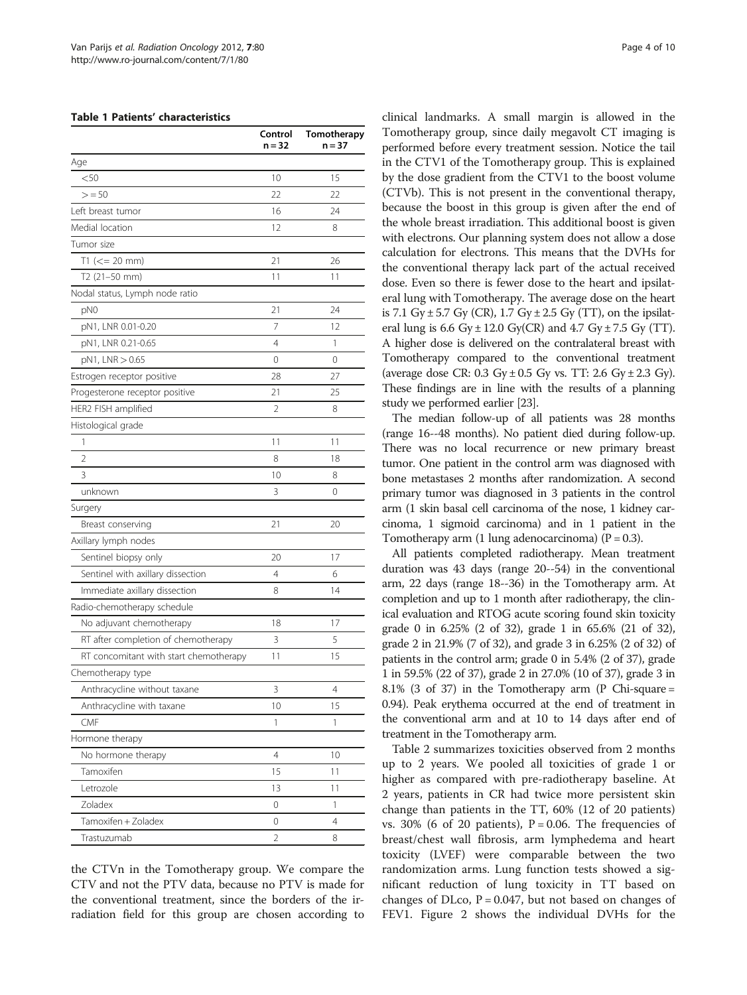#### <span id="page-3-0"></span>Table 1 Patients' characteristics

|                                        | Control<br>n = 32 | Tomotherapy<br>n = 37 |
|----------------------------------------|-------------------|-----------------------|
| Age                                    |                   |                       |
| $<$ 50                                 | 10                | 15                    |
| > 50                                   | 22                | 22                    |
| Left breast tumor                      | 16                | 24                    |
| Medial location                        | 12                | 8                     |
| Tumor size                             |                   |                       |
| $T1 (= 20$ mm)                         | 21                | 26                    |
| T2 (21-50 mm)                          | 11                | 11                    |
| Nodal status, Lymph node ratio         |                   |                       |
| pN0                                    | 21                | 24                    |
| pN1, LNR 0.01-0.20                     | 7                 | 12                    |
| pN1, LNR 0.21-0.65                     | 4                 | 1                     |
| pN1, LNR > 0.65                        | 0                 | 0                     |
| Estrogen receptor positive             | 28                | 27                    |
| Progesterone receptor positive         | 21                | 25                    |
| HER2 FISH amplified                    | 2                 | 8                     |
| Histological grade                     |                   |                       |
| 1                                      | 11                | 11                    |
| $\overline{2}$                         | 8                 | 18                    |
| 3                                      | 10                | 8                     |
| unknown                                | 3                 | 0                     |
| Surgery                                |                   |                       |
| Breast conserving                      | 21                | 20                    |
| Axillary lymph nodes                   |                   |                       |
| Sentinel biopsy only                   | 20                | 17                    |
| Sentinel with axillary dissection      | 4                 | 6                     |
| Immediate axillary dissection          | 8                 | 14                    |
| Radio-chemotherapy schedule            |                   |                       |
| No adjuvant chemotherapy               | 18                | 17                    |
| RT after completion of chemotherapy    | 3                 | 5                     |
| RT concomitant with start chemotherapy | 11                | 15                    |
| Chemotherapy type                      |                   |                       |
| Anthracycline without taxane           | 3                 | 4                     |
| Anthracycline with taxane              | 10                | 15                    |
| CMF                                    | 1                 | 1                     |
| Hormone therapy                        |                   |                       |
| No hormone therapy                     | $\overline{4}$    | 10                    |
| Tamoxifen                              | 15                | 11                    |
| Letrozole                              | 13                | 11                    |
| Zoladex                                | 0                 | 1                     |
| Tamoxifen + Zoladex                    | 0                 | 4                     |
| Trastuzumab                            | 2                 | 8                     |
|                                        |                   |                       |

the CTVn in the Tomotherapy group. We compare the CTV and not the PTV data, because no PTV is made for the conventional treatment, since the borders of the irradiation field for this group are chosen according to clinical landmarks. A small margin is allowed in the Tomotherapy group, since daily megavolt CT imaging is performed before every treatment session. Notice the tail in the CTV1 of the Tomotherapy group. This is explained by the dose gradient from the CTV1 to the boost volume (CTVb). This is not present in the conventional therapy, because the boost in this group is given after the end of the whole breast irradiation. This additional boost is given with electrons. Our planning system does not allow a dose calculation for electrons. This means that the DVHs for the conventional therapy lack part of the actual received dose. Even so there is fewer dose to the heart and ipsilateral lung with Tomotherapy. The average dose on the heart is 7.1 Gy  $\pm$  5.7 Gy (CR), 1.7 Gy  $\pm$  2.5 Gy (TT), on the ipsilateral lung is  $6.6 \text{ Gy} \pm 12.0 \text{ Gy}(\text{CR})$  and  $4.7 \text{ Gy} \pm 7.5 \text{ Gy}$  (TT). A higher dose is delivered on the contralateral breast with Tomotherapy compared to the conventional treatment (average dose CR:  $0.3 \text{ Gy} \pm 0.5 \text{ Gy}$  vs. TT:  $2.6 \text{ Gy} \pm 2.3 \text{ Gy}$ ). These findings are in line with the results of a planning study we performed earlier [\[23\]](#page-8-0).

The median follow-up of all patients was 28 months (range 16--48 months). No patient died during follow-up. There was no local recurrence or new primary breast tumor. One patient in the control arm was diagnosed with bone metastases 2 months after randomization. A second primary tumor was diagnosed in 3 patients in the control arm (1 skin basal cell carcinoma of the nose, 1 kidney carcinoma, 1 sigmoid carcinoma) and in 1 patient in the Tomotherapy arm (1 lung adenocarcinoma) ( $P = 0.3$ ).

All patients completed radiotherapy. Mean treatment duration was 43 days (range 20--54) in the conventional arm, 22 days (range 18--36) in the Tomotherapy arm. At completion and up to 1 month after radiotherapy, the clinical evaluation and RTOG acute scoring found skin toxicity grade 0 in 6.25% (2 of 32), grade 1 in 65.6% (21 of 32), grade 2 in 21.9% (7 of 32), and grade 3 in 6.25% (2 of 32) of patients in the control arm; grade 0 in 5.4% (2 of 37), grade 1 in 59.5% (22 of 37), grade 2 in 27.0% (10 of 37), grade 3 in 8.1% (3 of 37) in the Tomotherapy arm (P Chi-square = 0.94). Peak erythema occurred at the end of treatment in the conventional arm and at 10 to 14 days after end of treatment in the Tomotherapy arm.

Table [2](#page-5-0) summarizes toxicities observed from 2 months up to 2 years. We pooled all toxicities of grade 1 or higher as compared with pre-radiotherapy baseline. At 2 years, patients in CR had twice more persistent skin change than patients in the TT, 60% (12 of 20 patients) vs. 30% (6 of 20 patients),  $P = 0.06$ . The frequencies of breast/chest wall fibrosis, arm lymphedema and heart toxicity (LVEF) were comparable between the two randomization arms. Lung function tests showed a significant reduction of lung toxicity in TT based on changes of DLco,  $P = 0.047$ , but not based on changes of FEV1. Figure [2](#page-6-0) shows the individual DVHs for the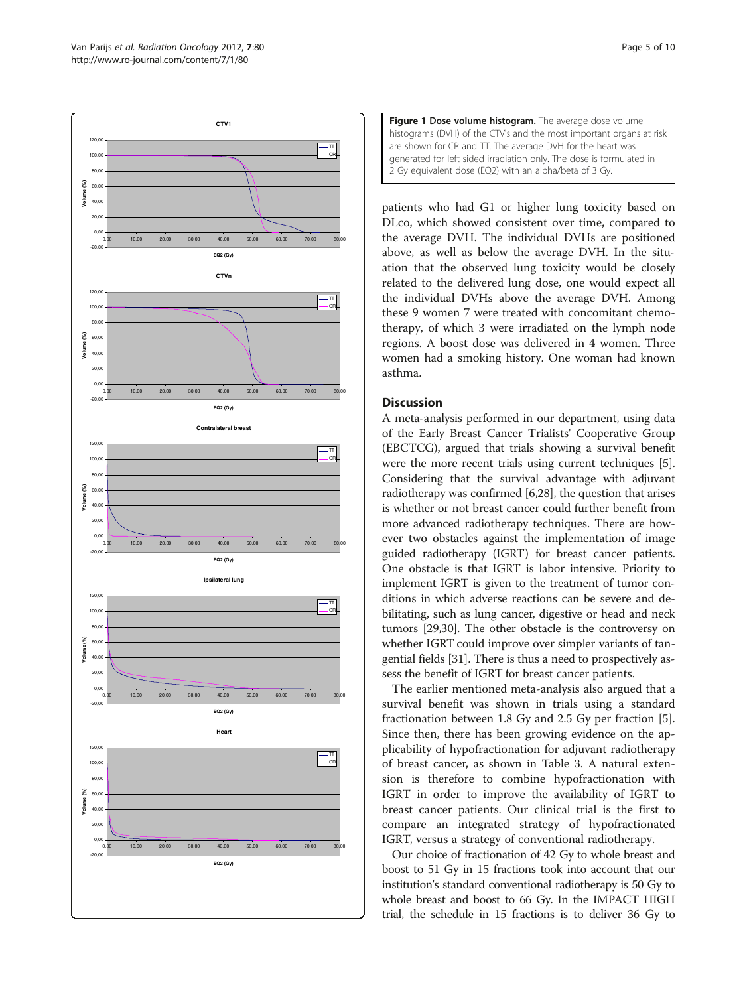<span id="page-4-0"></span>



patients who had G1 or higher lung toxicity based on DLco, which showed consistent over time, compared to the average DVH. The individual DVHs are positioned above, as well as below the average DVH. In the situation that the observed lung toxicity would be closely related to the delivered lung dose, one would expect all the individual DVHs above the average DVH. Among these 9 women 7 were treated with concomitant chemotherapy, of which 3 were irradiated on the lymph node regions. A boost dose was delivered in 4 women. Three women had a smoking history. One woman had known asthma.

# Discussion

A meta-analysis performed in our department, using data of the Early Breast Cancer Trialists' Cooperative Group (EBCTCG), argued that trials showing a survival benefit were the more recent trials using current techniques [[5](#page-8-0)]. Considering that the survival advantage with adjuvant radiotherapy was confirmed [[6,](#page-8-0)[28](#page-9-0)], the question that arises is whether or not breast cancer could further benefit from more advanced radiotherapy techniques. There are however two obstacles against the implementation of image guided radiotherapy (IGRT) for breast cancer patients. One obstacle is that IGRT is labor intensive. Priority to implement IGRT is given to the treatment of tumor conditions in which adverse reactions can be severe and debilitating, such as lung cancer, digestive or head and neck tumors [\[29,30\]](#page-9-0). The other obstacle is the controversy on whether IGRT could improve over simpler variants of tangential fields [\[31](#page-9-0)]. There is thus a need to prospectively assess the benefit of IGRT for breast cancer patients.

The earlier mentioned meta-analysis also argued that a survival benefit was shown in trials using a standard fractionation between 1.8 Gy and 2.5 Gy per fraction [\[5](#page-8-0)]. Since then, there has been growing evidence on the applicability of hypofractionation for adjuvant radiotherapy of breast cancer, as shown in Table [3.](#page-7-0) A natural extension is therefore to combine hypofractionation with IGRT in order to improve the availability of IGRT to breast cancer patients. Our clinical trial is the first to compare an integrated strategy of hypofractionated IGRT, versus a strategy of conventional radiotherapy.

Our choice of fractionation of 42 Gy to whole breast and boost to 51 Gy in 15 fractions took into account that our institution's standard conventional radiotherapy is 50 Gy to whole breast and boost to 66 Gy. In the IMPACT HIGH trial, the schedule in 15 fractions is to deliver 36 Gy to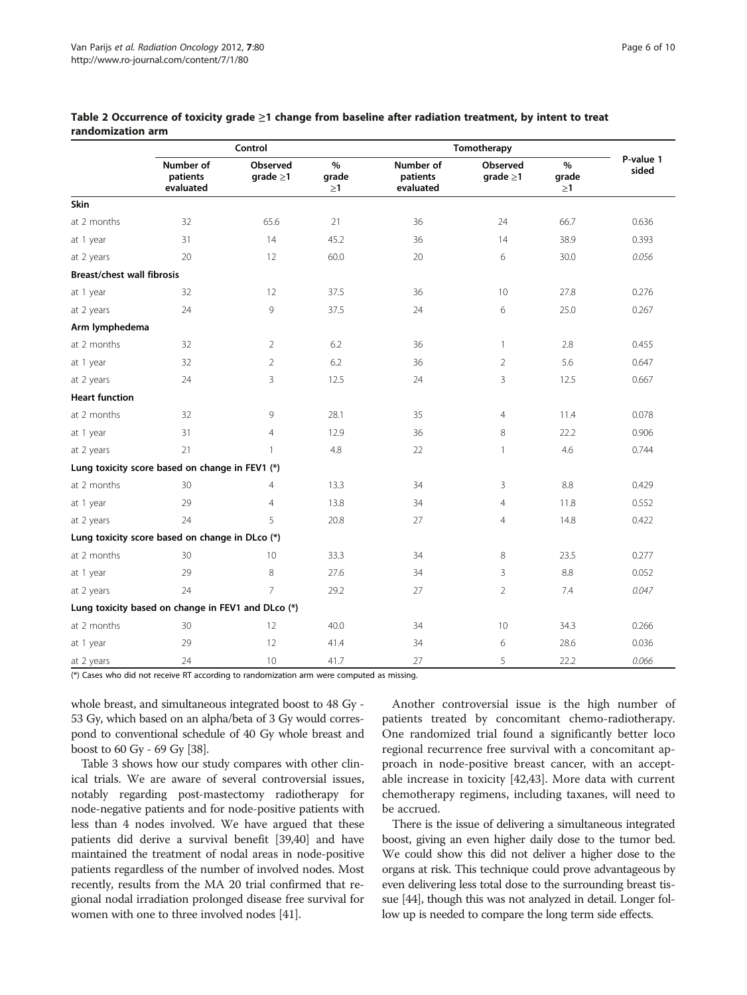|                                   | Control                                            |                            |                           | Tomotherapy                        |                            |                           |                    |  |
|-----------------------------------|----------------------------------------------------|----------------------------|---------------------------|------------------------------------|----------------------------|---------------------------|--------------------|--|
|                                   | Number of<br>patients<br>evaluated                 | Observed<br>grade $\geq$ 1 | $\%$<br>grade<br>$\geq$ 1 | Number of<br>patients<br>evaluated | Observed<br>grade $\geq$ 1 | $\%$<br>grade<br>$\geq$ 1 | P-value 1<br>sided |  |
| <b>Skin</b>                       |                                                    |                            |                           |                                    |                            |                           |                    |  |
| at 2 months                       | 32                                                 | 65.6                       | 21                        | 36                                 | 24                         | 66.7                      | 0.636              |  |
| at 1 year                         | 31                                                 | 14                         | 45.2                      | 36                                 | 14                         | 38.9                      | 0.393              |  |
| at 2 years                        | 20                                                 | 12                         | 60.0                      | 20                                 | 6                          | 30.0                      | 0.056              |  |
| <b>Breast/chest wall fibrosis</b> |                                                    |                            |                           |                                    |                            |                           |                    |  |
| at 1 year                         | 32                                                 | 12                         | 37.5                      | 36                                 | 10                         | 27.8                      | 0.276              |  |
| at 2 years                        | 24                                                 | 9                          | 37.5                      | 24                                 | 6                          | 25.0                      | 0.267              |  |
| Arm lymphedema                    |                                                    |                            |                           |                                    |                            |                           |                    |  |
| at 2 months                       | 32                                                 | 2                          | 6.2                       | 36                                 | $\mathbf{1}$               | 2.8                       | 0.455              |  |
| at 1 year                         | 32                                                 | $\overline{2}$             | 6.2                       | 36                                 | $\overline{2}$             | 5.6                       | 0.647              |  |
| at 2 years                        | 24                                                 | 3                          | 12.5                      | 24                                 | 3                          | 12.5                      | 0.667              |  |
| <b>Heart function</b>             |                                                    |                            |                           |                                    |                            |                           |                    |  |
| at 2 months                       | 32                                                 | 9                          | 28.1                      | 35                                 | $\overline{4}$             | 11.4                      | 0.078              |  |
| at 1 year                         | 31                                                 | $\overline{4}$             | 12.9                      | 36                                 | 8                          | 22.2                      | 0.906              |  |
| at 2 years                        | 21                                                 | $\mathbf{1}$               | 4.8                       | 22                                 | $\mathbf{1}$               | 4.6                       | 0.744              |  |
|                                   | Lung toxicity score based on change in FEV1 (*)    |                            |                           |                                    |                            |                           |                    |  |
| at 2 months                       | 30                                                 | 4                          | 13.3                      | 34                                 | 3                          | 8.8                       | 0.429              |  |
| at 1 year                         | 29                                                 | $\overline{4}$             | 13.8                      | 34                                 | $\overline{4}$             | 11.8                      | 0.552              |  |
| at 2 years                        | 24                                                 | 5                          | 20.8                      | 27                                 | $\overline{4}$             | 14.8                      | 0.422              |  |
|                                   | Lung toxicity score based on change in DLco (*)    |                            |                           |                                    |                            |                           |                    |  |
| at 2 months                       | 30                                                 | 10                         | 33.3                      | 34                                 | 8                          | 23.5                      | 0.277              |  |
| at 1 year                         | 29                                                 | 8                          | 27.6                      | 34                                 | 3                          | 8.8                       | 0.052              |  |
| at 2 years                        | 24                                                 | $\overline{7}$             | 29.2                      | 27                                 | $\overline{2}$             | 7.4                       | 0.047              |  |
|                                   | Lung toxicity based on change in FEV1 and DLco (*) |                            |                           |                                    |                            |                           |                    |  |
| at 2 months                       | 30                                                 | 12                         | 40.0                      | 34                                 | 10 <sup>°</sup>            | 34.3                      | 0.266              |  |
| at 1 year                         | 29                                                 | 12                         | 41.4                      | 34                                 | 6                          | 28.6                      | 0.036              |  |
| at 2 years                        | 24                                                 | 10                         | 41.7                      | 27                                 | 5                          | 22.2                      | 0.066              |  |

<span id="page-5-0"></span>Table 2 Occurrence of toxicity grade ≥1 change from baseline after radiation treatment, by intent to treat randomization arm

(\*) Cases who did not receive RT according to randomization arm were computed as missing.

whole breast, and simultaneous integrated boost to 48 Gy - 53 Gy, which based on an alpha/beta of 3 Gy would correspond to conventional schedule of 40 Gy whole breast and boost to 60 Gy - 69 Gy [\[38\]](#page-9-0).

Table [3](#page-7-0) shows how our study compares with other clinical trials. We are aware of several controversial issues, notably regarding post-mastectomy radiotherapy for node-negative patients and for node-positive patients with less than 4 nodes involved. We have argued that these patients did derive a survival benefit [[39,40\]](#page-9-0) and have maintained the treatment of nodal areas in node-positive patients regardless of the number of involved nodes. Most recently, results from the MA 20 trial confirmed that regional nodal irradiation prolonged disease free survival for women with one to three involved nodes [\[41\]](#page-9-0).

Another controversial issue is the high number of patients treated by concomitant chemo-radiotherapy. One randomized trial found a significantly better loco regional recurrence free survival with a concomitant approach in node-positive breast cancer, with an acceptable increase in toxicity [[42,43\]](#page-9-0). More data with current chemotherapy regimens, including taxanes, will need to be accrued.

There is the issue of delivering a simultaneous integrated boost, giving an even higher daily dose to the tumor bed. We could show this did not deliver a higher dose to the organs at risk. This technique could prove advantageous by even delivering less total dose to the surrounding breast tissue [\[44\]](#page-9-0), though this was not analyzed in detail. Longer follow up is needed to compare the long term side effects.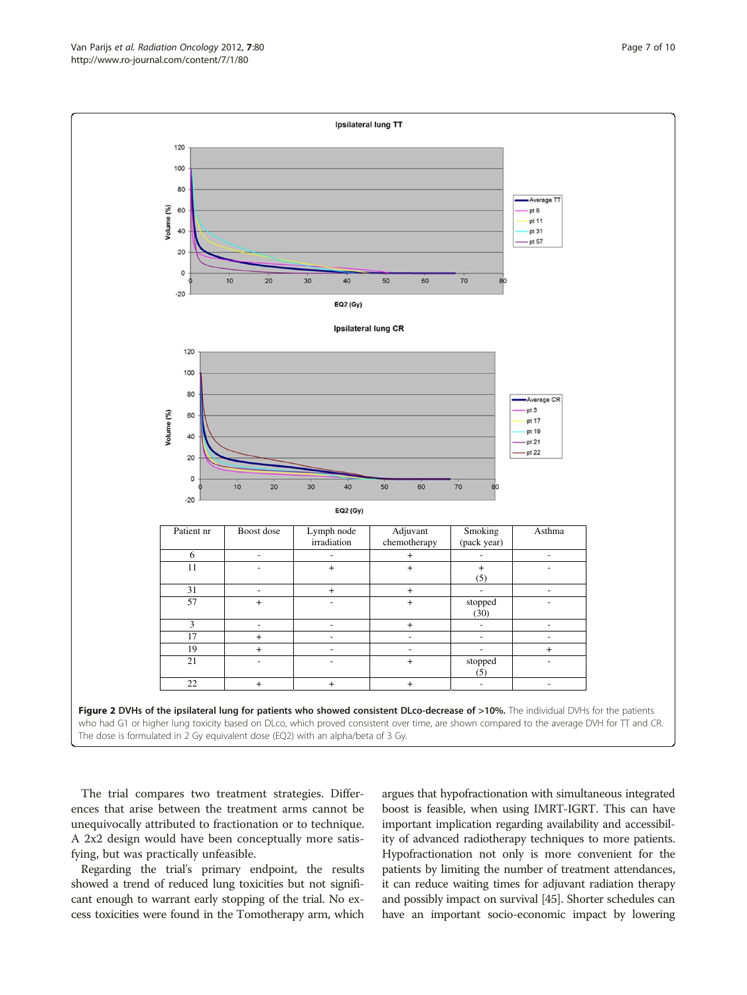<span id="page-6-0"></span>

The trial compares two treatment strategies. Differences that arise between the treatment arms cannot be unequivocally attributed to fractionation or to technique. A 2x2 design would have been conceptually more satisfying, but was practically unfeasible.

Regarding the trial's primary endpoint, the results showed a trend of reduced lung toxicities but not significant enough to warrant early stopping of the trial. No excess toxicities were found in the Tomotherapy arm, which

argues that hypofractionation with simultaneous integrated boost is feasible, when using IMRT-IGRT. This can have important implication regarding availability and accessibility of advanced radiotherapy techniques to more patients. Hypofractionation not only is more convenient for the patients by limiting the number of treatment attendances, it can reduce waiting times for adjuvant radiation therapy and possibly impact on survival [[45](#page-9-0)]. Shorter schedules can have an important socio-economic impact by lowering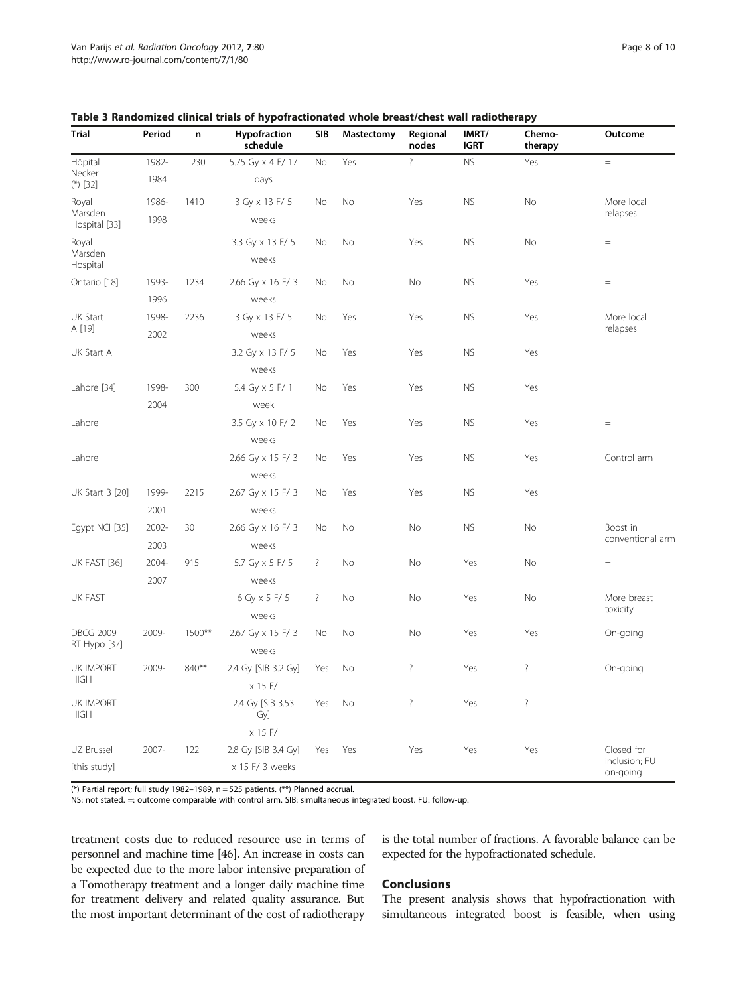| <b>Trial</b>                    | Period          | n      | Hypofraction<br>schedule | <b>SIB</b> | Mastectomy | Regional<br>nodes  | IMRT/<br><b>IGRT</b> | Chemo-<br>therapy  | Outcome                   |
|---------------------------------|-----------------|--------|--------------------------|------------|------------|--------------------|----------------------|--------------------|---------------------------|
| Hôpital                         | 1982-           | 230    | 5.75 Gy x 4 F/ 17        | No         | Yes        | $\overline{\cdot}$ | <b>NS</b>            | Yes                | $=$                       |
| Necker<br>$(*)$ [32]            | 1984            |        | days                     |            |            |                    |                      |                    |                           |
| Royal                           | 1986-           | 1410   | 3 Gy x 13 F/ 5           | No         | No         | Yes                | <b>NS</b>            | No                 | More local                |
| Hospital [33]                   | Marsden<br>1998 |        | weeks                    |            |            |                    |                      |                    | relapses                  |
| Royal                           |                 |        | 3.3 Gy x 13 F/ 5         | No         | No         | Yes                | <b>NS</b>            | <b>No</b>          | $=$                       |
| Marsden<br>Hospital             |                 |        | weeks                    |            |            |                    |                      |                    |                           |
| Ontario [18]                    | 1993-           | 1234   | 2.66 Gy x 16 F/ 3        | No         | No         | No                 | <b>NS</b>            | Yes                | $=$                       |
|                                 | 1996            |        | weeks                    |            |            |                    |                      |                    |                           |
| <b>UK Start</b>                 | 1998-           | 2236   | 3 Gy x 13 F/ 5           | No         | Yes        | Yes                | <b>NS</b>            | Yes                | More local                |
| A [19]                          | 2002            |        | weeks                    |            |            |                    |                      | relapses           |                           |
| UK Start A                      |                 |        | 3.2 Gy x 13 F/ 5         | No         | Yes        | Yes                | <b>NS</b>            | Yes                | $=$                       |
|                                 |                 |        | weeks                    |            |            |                    |                      |                    |                           |
| Lahore [34]                     | 1998-           | 300    | 5.4 Gy x 5 F/ 1          | No         | Yes        | Yes                | <b>NS</b>            | Yes                | $=$                       |
|                                 | 2004            |        | week                     |            |            |                    |                      |                    |                           |
| Lahore                          |                 |        | 3.5 Gy x 10 F/2          | No         | Yes        | Yes                | <b>NS</b>            | Yes                | $=$                       |
|                                 |                 |        | weeks                    |            |            |                    |                      |                    |                           |
| Lahore                          |                 |        | 2.66 Gy x 15 F/ 3        | No         | Yes        | Yes                | <b>NS</b>            | Yes                | Control arm               |
|                                 |                 |        | weeks                    |            |            |                    |                      |                    |                           |
| UK Start B [20]                 | 1999-           | 2215   | 2.67 Gy x 15 F/ 3        | No         | Yes        | Yes                | <b>NS</b>            | Yes                | $\quad =$                 |
|                                 | 2001            |        | weeks                    |            |            |                    |                      |                    |                           |
| Egypt NCI [35]                  | 2002-           | 30     | 2.66 Gy x 16 F/ 3        | No         | No         | No                 | <b>NS</b>            | No                 | Boost in                  |
|                                 | 2003            |        | weeks                    |            |            |                    |                      |                    | conventional arm          |
| UK FAST [36]                    | 2004-           | 915    | 5.7 Gy x 5 F/ 5          | $\ddot{?}$ | No         | No                 | Yes                  | No                 | $\quad =$                 |
|                                 | 2007            |        | weeks                    |            |            |                    |                      |                    |                           |
| <b>UK FAST</b>                  |                 |        | 6 Gy x 5 F/ 5            | $\ddot{?}$ | No         | No                 | Yes                  | No                 | More breast               |
|                                 |                 |        | weeks                    |            |            |                    |                      |                    | toxicity                  |
| <b>DBCG 2009</b>                | 2009-           | 1500** | 2.67 Gy x 15 F/ 3        | No         | No         | No                 | Yes                  | Yes                | On-going                  |
| RT Hypo [37]                    |                 |        | weeks                    |            |            |                    |                      |                    |                           |
| UK IMPORT                       | 2009-           | 840**  | 2.4 Gy [SIB 3.2 Gy]      | Yes        | No         | $\overline{\cdot}$ | Yes                  | $\overline{\cdot}$ | On-going                  |
| <b>HIGH</b>                     |                 |        | x 15 F/                  |            |            |                    |                      |                    |                           |
| <b>UK IMPORT</b><br><b>HIGH</b> |                 |        | 2.4 Gy [SIB 3.53<br>Gy]  | Yes        | No         | $\overline{?}$     | Yes                  | $\overline{\cdot}$ |                           |
|                                 |                 |        | x 15 F/                  |            |            |                    |                      |                    |                           |
| UZ Brussel                      | 2007-           | 122    | 2.8 Gy [SIB 3.4 Gy]      | Yes        | Yes        | Yes                | Yes                  | Yes                | Closed for                |
| [this study]                    |                 |        | x 15 F/ 3 weeks          |            |            |                    |                      |                    | inclusion; FU<br>on-going |

<span id="page-7-0"></span>

|  |  | Table 3 Randomized clinical trials of hypofractionated whole breast/chest wall radiotherapy |
|--|--|---------------------------------------------------------------------------------------------|
|--|--|---------------------------------------------------------------------------------------------|

(\*) Partial report; full study 1982-1989,  $n = 525$  patients. (\*\*) Planned accrual.

NS: not stated. =: outcome comparable with control arm. SIB: simultaneous integrated boost. FU: follow-up.

treatment costs due to reduced resource use in terms of personnel and machine time [\[46\]](#page-9-0). An increase in costs can be expected due to the more labor intensive preparation of a Tomotherapy treatment and a longer daily machine time for treatment delivery and related quality assurance. But the most important determinant of the cost of radiotherapy

is the total number of fractions. A favorable balance can be expected for the hypofractionated schedule.

# **Conclusions**

The present analysis shows that hypofractionation with simultaneous integrated boost is feasible, when using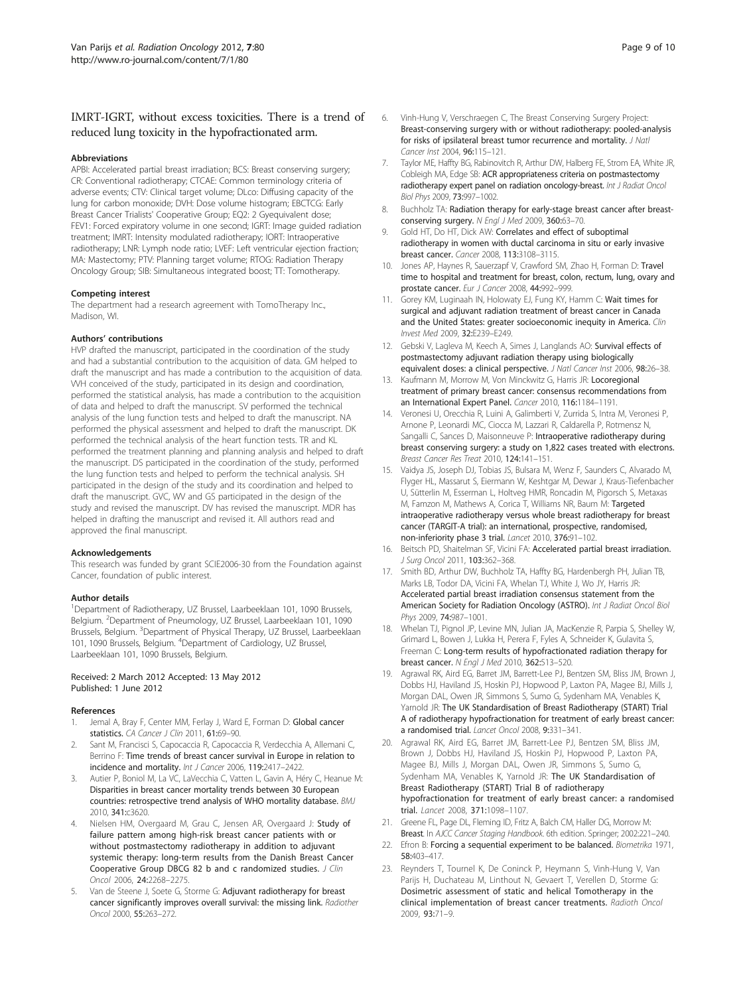# <span id="page-8-0"></span>IMRT-IGRT, without excess toxicities. There is a trend of reduced lung toxicity in the hypofractionated arm.

#### Abbreviations

APBI: Accelerated partial breast irradiation; BCS: Breast conserving surgery; CR: Conventional radiotherapy; CTCAE: Common terminology criteria of adverse events; CTV: Clinical target volume; DLco: Diffusing capacity of the lung for carbon monoxide; DVH: Dose volume histogram; EBCTCG: Early Breast Cancer Trialists' Cooperative Group; EQ2: 2 Gyequivalent dose; FEV1: Forced expiratory volume in one second; IGRT: Image guided radiation treatment; IMRT: Intensity modulated radiotherapy; IORT: Intraoperative radiotherapy; LNR: Lymph node ratio; LVEF: Left ventricular ejection fraction; MA: Mastectomy; PTV: Planning target volume; RTOG: Radiation Therapy Oncology Group; SIB: Simultaneous integrated boost; TT: Tomotherapy.

#### Competing interest

The department had a research agreement with TomoTherapy Inc., Madison, WI.

#### Authors' contributions

HVP drafted the manuscript, participated in the coordination of the study and had a substantial contribution to the acquisition of data. GM helped to draft the manuscript and has made a contribution to the acquisition of data. VVH conceived of the study, participated in its design and coordination, performed the statistical analysis, has made a contribution to the acquisition of data and helped to draft the manuscript. SV performed the technical analysis of the lung function tests and helped to draft the manuscript. NA performed the physical assessment and helped to draft the manuscript. DK performed the technical analysis of the heart function tests. TR and KL performed the treatment planning and planning analysis and helped to draft the manuscript. DS participated in the coordination of the study, performed the lung function tests and helped to perform the technical analysis. SH participated in the design of the study and its coordination and helped to draft the manuscript. GVC, WV and GS participated in the design of the study and revised the manuscript. DV has revised the manuscript. MDR has helped in drafting the manuscript and revised it. All authors read and approved the final manuscript.

#### Acknowledgements

This research was funded by grant SCIE2006-30 from the Foundation against Cancer, foundation of public interest.

#### Author details

<sup>1</sup>Department of Radiotherapy, UZ Brussel, Laarbeeklaan 101, 1090 Brussels, Belgium. <sup>2</sup>Department of Pneumology, UZ Brussel, Laarbeeklaan 101, 1090 Brussels, Belgium. <sup>3</sup>Department of Physical Therapy, UZ Brussel, Laarbeeklaan 101, 1090 Brussels, Belgium. <sup>4</sup> Department of Cardiology, UZ Brussel, Laarbeeklaan 101, 1090 Brussels, Belgium.

#### Received: 2 March 2012 Accepted: 13 May 2012 Published: 1 June 2012

#### References

- Jemal A, Bray F, Center MM, Ferlay J, Ward E, Forman D: Global cancer statistics. CA Cancer J Clin 2011, 61:69-90.
- 2. Sant M, Francisci S, Capocaccia R, Capocaccia R, Verdecchia A, Allemani C, Berrino F: Time trends of breast cancer survival in Europe in relation to incidence and mortality. Int J Cancer 2006, 119:2417–2422.
- 3. Autier P, Boniol M, La VC, LaVecchia C, Vatten L, Gavin A, Héry C, Heanue M: Disparities in breast cancer mortality trends between 30 European countries: retrospective trend analysis of WHO mortality database. BMJ 2010, 341:c3620.
- 4. Nielsen HM, Overgaard M, Grau C, Jensen AR, Overgaard J: Study of failure pattern among high-risk breast cancer patients with or without postmastectomy radiotherapy in addition to adjuvant systemic therapy: long-term results from the Danish Breast Cancer Cooperative Group DBCG 82 b and c randomized studies. J Clin Oncol 2006, 24:2268–2275.
- Van de Steene J, Soete G, Storme G: Adjuvant radiotherapy for breast cancer significantly improves overall survival: the missing link. Radiother Oncol 2000, 55:263–272.
- 6. Vinh-Hung V, Verschraegen C, The Breast Conserving Surgery Project: Breast-conserving surgery with or without radiotherapy: pooled-analysis for risks of ipsilateral breast tumor recurrence and mortality. J Natl Cancer Inst 2004, 96:115–121.
- 7. Taylor ME, Haffty BG, Rabinovitch R, Arthur DW, Halberg FE, Strom EA, White JR, Cobleigh MA, Edge SB: ACR appropriateness criteria on postmastectomy radiotherapy expert panel on radiation oncology-breast. Int J Radiat Oncol Biol Phys 2009, 73:997–1002.
- 8. Buchholz TA: Radiation therapy for early-stage breast cancer after breastconserving surgery. N Engl J Med 2009, 360:63–70.
- 9. Gold HT, Do HT, Dick AW: Correlates and effect of suboptimal radiotherapy in women with ductal carcinoma in situ or early invasive breast cancer. Cancer 2008, 113:3108–3115.
- 10. Jones AP, Haynes R, Sauerzapf V, Crawford SM, Zhao H, Forman D: Travel time to hospital and treatment for breast, colon, rectum, lung, ovary and prostate cancer. Eur J Cancer 2008, 44:992–999.
- 11. Gorey KM, Luginaah IN, Holowaty EJ, Fung KY, Hamm C: Wait times for surgical and adjuvant radiation treatment of breast cancer in Canada and the United States: greater socioeconomic inequity in America. Clin Invest Med 2009, 32:E239–E249.
- 12. Gebski V, Lagleva M, Keech A, Simes J, Langlands AO: Survival effects of postmastectomy adjuvant radiation therapy using biologically equivalent doses: a clinical perspective. J Natl Cancer Inst 2006, 98:26-38.
- 13. Kaufmann M, Morrow M, Von Minckwitz G, Harris JR: Locoregional treatment of primary breast cancer: consensus recommendations from an International Expert Panel. Cancer 2010, 116:1184–1191.
- 14. Veronesi U, Orecchia R, Luini A, Galimberti V, Zurrida S, Intra M, Veronesi P, Arnone P, Leonardi MC, Ciocca M, Lazzari R, Caldarella P, Rotmensz N, Sangalli C, Sances D, Maisonneuve P: Intraoperative radiotherapy during breast conserving surgery: a study on 1,822 cases treated with electrons. Breast Cancer Res Treat 2010, 124:141–151.
- 15. Vaidya JS, Joseph DJ, Tobias JS, Bulsara M, Wenz F, Saunders C, Alvarado M, Flyger HL, Massarut S, Eiermann W, Keshtgar M, Dewar J, Kraus-Tiefenbacher U, Sütterlin M, Esserman L, Holtveg HMR, Roncadin M, Pigorsch S, Metaxas M, Famzon M, Mathews A, Corica T, Williams NR, Baum M: Targeted intraoperative radiotherapy versus whole breast radiotherapy for breast cancer (TARGIT-A trial): an international, prospective, randomised, non-inferiority phase 3 trial. Lancet 2010, 376:91–102.
- 16. Beitsch PD, Shaitelman SF, Vicini FA: Accelerated partial breast irradiation. J Surg Oncol 2011, 103:362–368.
- 17. Smith BD, Arthur DW, Buchholz TA, Haffty BG, Hardenbergh PH, Julian TB, Marks LB, Todor DA, Vicini FA, Whelan TJ, White J, Wo JY, Harris JR: Accelerated partial breast irradiation consensus statement from the American Society for Radiation Oncology (ASTRO). Int J Radiat Oncol Biol Phys 2009, 74:987-1001.
- 18. Whelan TJ, Pignol JP, Levine MN, Julian JA, MacKenzie R, Parpia S, Shelley W, Grimard L, Bowen J, Lukka H, Perera F, Fyles A, Schneider K, Gulavita S, Freeman C: Long-term results of hypofractionated radiation therapy for breast cancer. N Engl J Med 2010, 362:513–520.
- 19. Agrawal RK, Aird EG, Barret JM, Barrett-Lee PJ, Bentzen SM, Bliss JM, Brown J, Dobbs HJ, Haviland JS, Hoskin PJ, Hopwood P, Laxton PA, Magee BJ, Mills J, Morgan DAL, Owen JR, Simmons S, Sumo G, Sydenham MA, Venables K, Yarnold JR: The UK Standardisation of Breast Radiotherapy (START) Trial A of radiotherapy hypofractionation for treatment of early breast cancer: a randomised trial. Lancet Oncol 2008, 9:331–341.
- 20. Agrawal RK, Aird EG, Barret JM, Barrett-Lee PJ, Bentzen SM, Bliss JM, Brown J, Dobbs HJ, Haviland JS, Hoskin PJ, Hopwood P, Laxton PA, Magee BJ, Mills J, Morgan DAL, Owen JR, Simmons S, Sumo G, Sydenham MA, Venables K, Yarnold JR: The UK Standardisation of Breast Radiotherapy (START) Trial B of radiotherapy hypofractionation for treatment of early breast cancer: a randomised trial. Lancet 2008, 371:1098–1107.
- 21. Greene FL, Page DL, Fleming ID, Fritz A, Balch CM, Haller DG, Morrow M: Breast. In AJCC Cancer Staging Handbook. 6th edition. Springer; 2002:221–240.
- 22. Efron B: Forcing a sequential experiment to be balanced. Biometrika 1971, 58:403–417.
- 23. Reynders T, Tournel K, De Coninck P, Heymann S, Vinh-Hung V, Van Parijs H, Duchateau M, Linthout N, Gevaert T, Verellen D, Storme G: Dosimetric assessment of static and helical Tomotherapy in the clinical implementation of breast cancer treatments. Radioth Oncol 2009, 93:71–9.